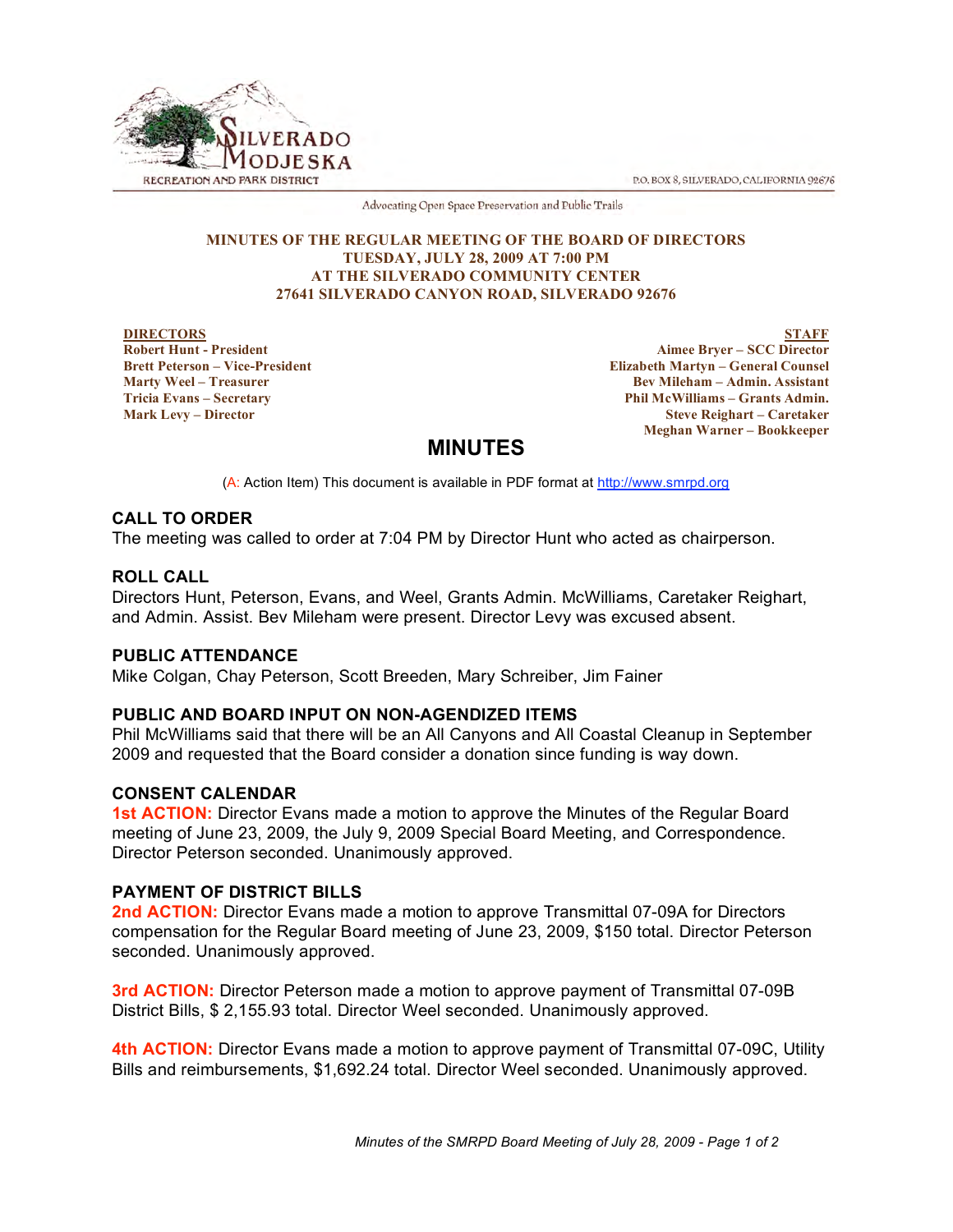P.O. BOX 8, SILVERADO, CALIFORNIA 92676



Advocating Open Space Preservation and Public Trails

#### **MINUTES OF THE REGULAR MEETING OF THE BOARD OF DIRECTORS TUESDAY, JULY 28, 2009 AT 7:00 PM AT THE SILVERADO COMMUNITY CENTER 27641 SILVERADO CANYON ROAD, SILVERADO 92676**

#### **DIRECTORS Robert Hunt - President Brett Peterson – Vice-President Marty Weel – Treasurer Tricia Evans – Secretary Mark Levy – Director**

**STAFF Aimee Bryer – SCC Director Elizabeth Martyn – General Counsel Bev Mileham – Admin. Assistant Phil McWilliams – Grants Admin. Steve Reighart – Caretaker Meghan Warner – Bookkeeper**

# **MINUTES**

(A: Action Item) This document is available in PDF format at http://www.smrpd.org

# **CALL TO ORDER**

The meeting was called to order at 7:04 PM by Director Hunt who acted as chairperson.

# **ROLL CALL**

Directors Hunt, Peterson, Evans, and Weel, Grants Admin. McWilliams, Caretaker Reighart, and Admin. Assist. Bev Mileham were present. Director Levy was excused absent.

## **PUBLIC ATTENDANCE**

Mike Colgan, Chay Peterson, Scott Breeden, Mary Schreiber, Jim Fainer

# **PUBLIC AND BOARD INPUT ON NON-AGENDIZED ITEMS**

Phil McWilliams said that there will be an All Canyons and All Coastal Cleanup in September 2009 and requested that the Board consider a donation since funding is way down.

# **CONSENT CALENDAR**

**1st ACTION:** Director Evans made a motion to approve the Minutes of the Regular Board meeting of June 23, 2009, the July 9, 2009 Special Board Meeting, and Correspondence. Director Peterson seconded. Unanimously approved.

# **PAYMENT OF DISTRICT BILLS**

**2nd ACTION:** Director Evans made a motion to approve Transmittal 07-09A for Directors compensation for the Regular Board meeting of June 23, 2009, \$150 total. Director Peterson seconded. Unanimously approved.

**3rd ACTION:** Director Peterson made a motion to approve payment of Transmittal 07-09B District Bills, \$ 2,155.93 total. Director Weel seconded. Unanimously approved.

**4th ACTION:** Director Evans made a motion to approve payment of Transmittal 07-09C, Utility Bills and reimbursements, \$1,692.24 total. Director Weel seconded. Unanimously approved.